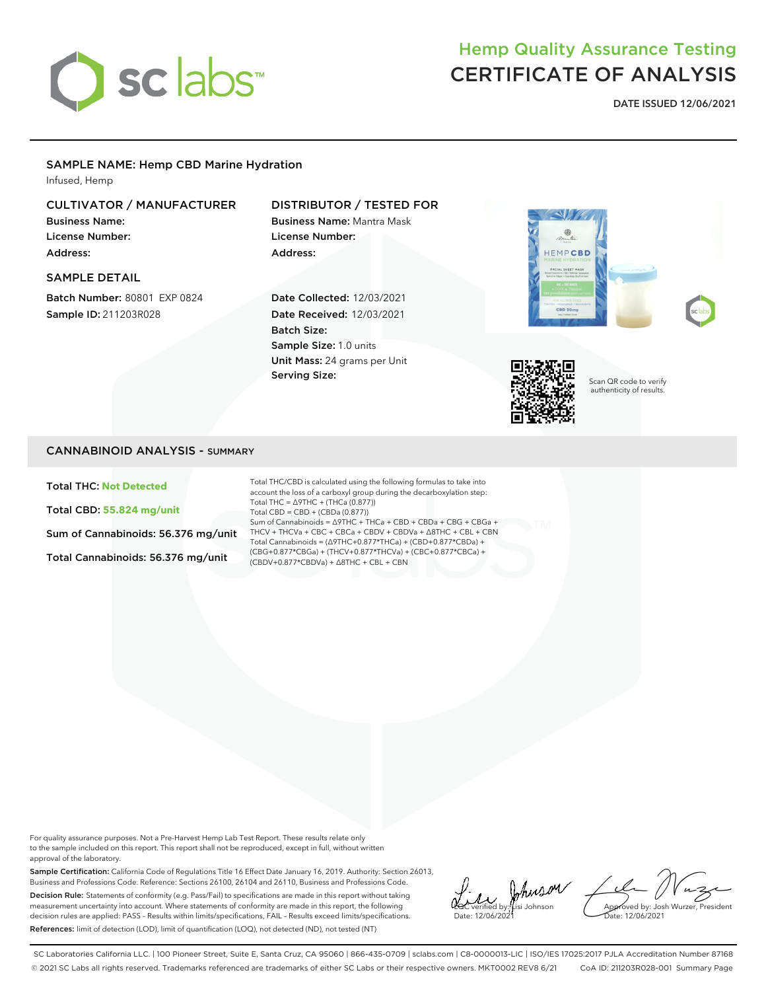

# Hemp Quality Assurance Testing CERTIFICATE OF ANALYSIS

DATE ISSUED 12/06/2021

#### SAMPLE NAME: Hemp CBD Marine Hydration

Infused, Hemp

### CULTIVATOR / MANUFACTURER

Business Name: License Number: Address:

SAMPLE DETAIL

Batch Number: 80801 EXP 0824 Sample ID: 211203R028

## DISTRIBUTOR / TESTED FOR

Business Name: Mantra Mask License Number: Address:

Date Collected: 12/03/2021 Date Received: 12/03/2021 Batch Size: Sample Size: 1.0 units Unit Mass: 24 grams per Unit Serving Size:





Scan QR code to verify authenticity of results.

#### CANNABINOID ANALYSIS - SUMMARY

Total THC: **Not Detected**

Total CBD: **55.824 mg/unit**

Sum of Cannabinoids: 56.376 mg/unit

Total Cannabinoids: 56.376 mg/unit

Total THC/CBD is calculated using the following formulas to take into account the loss of a carboxyl group during the decarboxylation step: Total THC = ∆9THC + (THCa (0.877)) Total CBD = CBD + (CBDa (0.877)) Sum of Cannabinoids = ∆9THC + THCa + CBD + CBDa + CBG + CBGa + THCV + THCVa + CBC + CBCa + CBDV + CBDVa + ∆8THC + CBL + CBN Total Cannabinoids = (∆9THC+0.877\*THCa) + (CBD+0.877\*CBDa) + (CBG+0.877\*CBGa) + (THCV+0.877\*THCVa) + (CBC+0.877\*CBCa) + (CBDV+0.877\*CBDVa) + ∆8THC + CBL + CBN

For quality assurance purposes. Not a Pre-Harvest Hemp Lab Test Report. These results relate only to the sample included on this report. This report shall not be reproduced, except in full, without written approval of the laboratory.

Sample Certification: California Code of Regulations Title 16 Effect Date January 16, 2019. Authority: Section 26013, Business and Professions Code. Reference: Sections 26100, 26104 and 26110, Business and Professions Code. Decision Rule: Statements of conformity (e.g. Pass/Fail) to specifications are made in this report without taking measurement uncertainty into account. Where statements of conformity are made in this report, the following decision rules are applied: PASS – Results within limits/specifications, FAIL – Results exceed limits/specifications. References: limit of detection (LOD), limit of quantification (LOQ), not detected (ND), not tested (NT)

LQC verified by: Lisi Johnson Date: 12/06/2021

Approved by: Josh Wurzer, President Date: 12/06/2021

SC Laboratories California LLC. | 100 Pioneer Street, Suite E, Santa Cruz, CA 95060 | 866-435-0709 | sclabs.com | C8-0000013-LIC | ISO/IES 17025:2017 PJLA Accreditation Number 87168 © 2021 SC Labs all rights reserved. Trademarks referenced are trademarks of either SC Labs or their respective owners. MKT0002 REV8 6/21 CoA ID: 211203R028-001 Summary Page